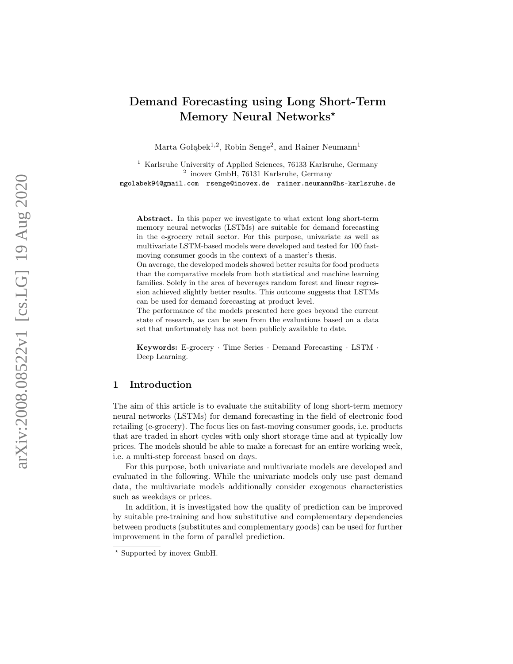# Demand Forecasting using Long Short-Term Memory Neural Networks\*

Marta Gołąbek<sup>1,2</sup>, Robin Senge<sup>2</sup>, and Rainer Neumann<sup>1</sup>

<sup>1</sup> Karlsruhe University of Applied Sciences, 76133 Karlsruhe, Germany 2 inovex GmbH, 76131 Karlsruhe, Germany mgolabek94@gmail.com rsenge@inovex.de rainer.neumann@hs-karlsruhe.de

Abstract. In this paper we investigate to what extent long short-term memory neural networks (LSTMs) are suitable for demand forecasting in the e-grocery retail sector. For this purpose, univariate as well as multivariate LSTM-based models were developed and tested for 100 fastmoving consumer goods in the context of a master's thesis.

On average, the developed models showed better results for food products than the comparative models from both statistical and machine learning families. Solely in the area of beverages random forest and linear regression achieved slightly better results. This outcome suggests that LSTMs can be used for demand forecasting at product level.

The performance of the models presented here goes beyond the current state of research, as can be seen from the evaluations based on a data set that unfortunately has not been publicly available to date.

Keywords: E-grocery · Time Series · Demand Forecasting · LSTM · Deep Learning.

# 1 Introduction

The aim of this article is to evaluate the suitability of long short-term memory neural networks (LSTMs) for demand forecasting in the field of electronic food retailing (e-grocery). The focus lies on fast-moving consumer goods, i.e. products that are traded in short cycles with only short storage time and at typically low prices. The models should be able to make a forecast for an entire working week, i.e. a multi-step forecast based on days.

For this purpose, both univariate and multivariate models are developed and evaluated in the following. While the univariate models only use past demand data, the multivariate models additionally consider exogenous characteristics such as weekdays or prices.

In addition, it is investigated how the quality of prediction can be improved by suitable pre-training and how substitutive and complementary dependencies between products (substitutes and complementary goods) can be used for further improvement in the form of parallel prediction.

<sup>?</sup> Supported by inovex GmbH.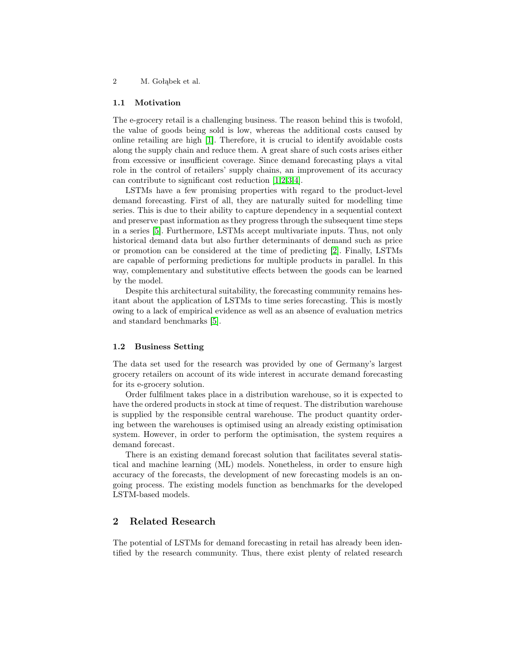#### 1.1 Motivation

The e-grocery retail is a challenging business. The reason behind this is twofold, the value of goods being sold is low, whereas the additional costs caused by online retailing are high [\[1\]](#page-11-0). Therefore, it is crucial to identify avoidable costs along the supply chain and reduce them. A great share of such costs arises either from excessive or insufficient coverage. Since demand forecasting plays a vital role in the control of retailers' supply chains, an improvement of its accuracy can contribute to significant cost reduction [\[1,](#page-11-0)[2,](#page-11-1)[3,](#page-11-2)[4\]](#page-12-0).

LSTMs have a few promising properties with regard to the product-level demand forecasting. First of all, they are naturally suited for modelling time series. This is due to their ability to capture dependency in a sequential context and preserve past information as they progress through the subsequent time steps in a series [\[5\]](#page-12-1). Furthermore, LSTMs accept multivariate inputs. Thus, not only historical demand data but also further determinants of demand such as price or promotion can be considered at the time of predicting [\[2\]](#page-11-1). Finally, LSTMs are capable of performing predictions for multiple products in parallel. In this way, complementary and substitutive effects between the goods can be learned by the model.

Despite this architectural suitability, the forecasting community remains hesitant about the application of LSTMs to time series forecasting. This is mostly owing to a lack of empirical evidence as well as an absence of evaluation metrics and standard benchmarks [\[5\]](#page-12-1).

#### 1.2 Business Setting

The data set used for the research was provided by one of Germany's largest grocery retailers on account of its wide interest in accurate demand forecasting for its e-grocery solution.

Order fulfilment takes place in a distribution warehouse, so it is expected to have the ordered products in stock at time of request. The distribution warehouse is supplied by the responsible central warehouse. The product quantity ordering between the warehouses is optimised using an already existing optimisation system. However, in order to perform the optimisation, the system requires a demand forecast.

There is an existing demand forecast solution that facilitates several statistical and machine learning (ML) models. Nonetheless, in order to ensure high accuracy of the forecasts, the development of new forecasting models is an ongoing process. The existing models function as benchmarks for the developed LSTM-based models.

# 2 Related Research

The potential of LSTMs for demand forecasting in retail has already been identified by the research community. Thus, there exist plenty of related research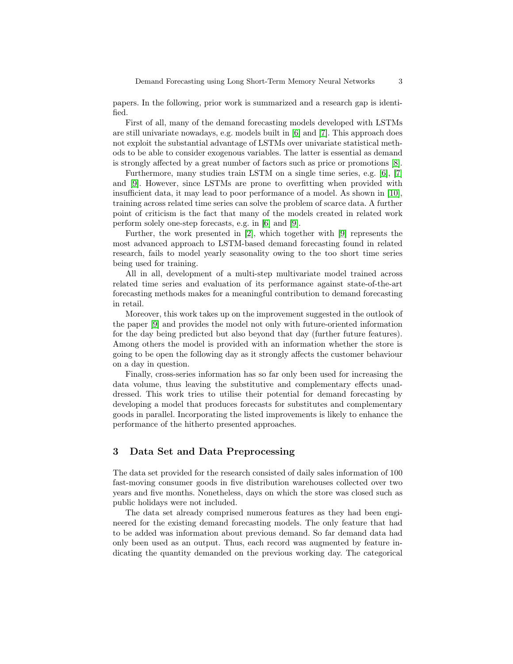papers. In the following, prior work is summarized and a research gap is identified.

First of all, many of the demand forecasting models developed with LSTMs are still univariate nowadays, e.g. models built in [\[6\]](#page-12-2) and [\[7\]](#page-12-3). This approach does not exploit the substantial advantage of LSTMs over univariate statistical methods to be able to consider exogenous variables. The latter is essential as demand is strongly affected by a great number of factors such as price or promotions [\[8\]](#page-12-4).

Furthermore, many studies train LSTM on a single time series, e.g. [\[6\]](#page-12-2), [\[7\]](#page-12-3) and [\[9\]](#page-12-5). However, since LSTMs are prone to overfitting when provided with insufficient data, it may lead to poor performance of a model. As shown in [\[10\]](#page-12-6), training across related time series can solve the problem of scarce data. A further point of criticism is the fact that many of the models created in related work perform solely one-step forecasts, e.g. in [\[6\]](#page-12-2) and [\[9\]](#page-12-5).

Further, the work presented in [\[2\]](#page-11-1), which together with [\[9\]](#page-12-5) represents the most advanced approach to LSTM-based demand forecasting found in related research, fails to model yearly seasonality owing to the too short time series being used for training.

All in all, development of a multi-step multivariate model trained across related time series and evaluation of its performance against state-of-the-art forecasting methods makes for a meaningful contribution to demand forecasting in retail.

Moreover, this work takes up on the improvement suggested in the outlook of the paper [\[9\]](#page-12-5) and provides the model not only with future-oriented information for the day being predicted but also beyond that day (further future features). Among others the model is provided with an information whether the store is going to be open the following day as it strongly affects the customer behaviour on a day in question.

Finally, cross-series information has so far only been used for increasing the data volume, thus leaving the substitutive and complementary effects unaddressed. This work tries to utilise their potential for demand forecasting by developing a model that produces forecasts for substitutes and complementary goods in parallel. Incorporating the listed improvements is likely to enhance the performance of the hitherto presented approaches.

# 3 Data Set and Data Preprocessing

The data set provided for the research consisted of daily sales information of 100 fast-moving consumer goods in five distribution warehouses collected over two years and five months. Nonetheless, days on which the store was closed such as public holidays were not included.

The data set already comprised numerous features as they had been engineered for the existing demand forecasting models. The only feature that had to be added was information about previous demand. So far demand data had only been used as an output. Thus, each record was augmented by feature indicating the quantity demanded on the previous working day. The categorical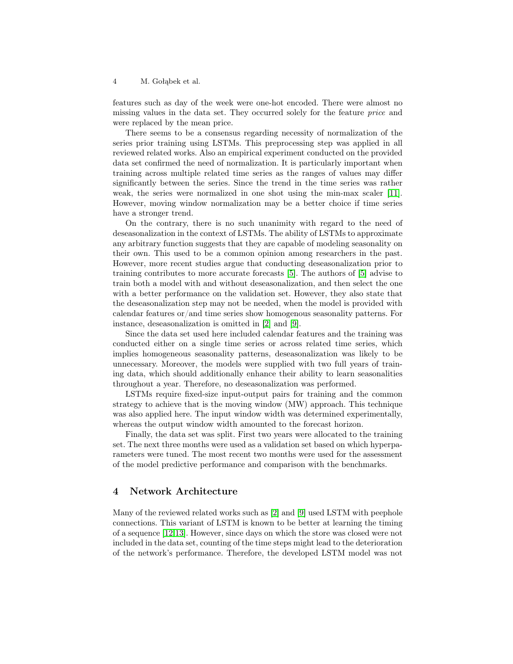features such as day of the week were one-hot encoded. There were almost no missing values in the data set. They occurred solely for the feature price and were replaced by the mean price.

There seems to be a consensus regarding necessity of normalization of the series prior training using LSTMs. This preprocessing step was applied in all reviewed related works. Also an empirical experiment conducted on the provided data set confirmed the need of normalization. It is particularly important when training across multiple related time series as the ranges of values may differ significantly between the series. Since the trend in the time series was rather weak, the series were normalized in one shot using the min-max scaler [\[11\]](#page-12-7). However, moving window normalization may be a better choice if time series have a stronger trend.

On the contrary, there is no such unanimity with regard to the need of deseasonalization in the context of LSTMs. The ability of LSTMs to approximate any arbitrary function suggests that they are capable of modeling seasonality on their own. This used to be a common opinion among researchers in the past. However, more recent studies argue that conducting deseasonalization prior to training contributes to more accurate forecasts [\[5\]](#page-12-1). The authors of [\[5\]](#page-12-1) advise to train both a model with and without deseasonalization, and then select the one with a better performance on the validation set. However, they also state that the deseasonalization step may not be needed, when the model is provided with calendar features or/and time series show homogenous seasonality patterns. For instance, deseasonalization is omitted in [\[2\]](#page-11-1) and [\[9\]](#page-12-5).

Since the data set used here included calendar features and the training was conducted either on a single time series or across related time series, which implies homogeneous seasonality patterns, deseasonalization was likely to be unnecessary. Moreover, the models were supplied with two full years of training data, which should additionally enhance their ability to learn seasonalities throughout a year. Therefore, no deseasonalization was performed.

LSTMs require fixed-size input-output pairs for training and the common strategy to achieve that is the moving window (MW) approach. This technique was also applied here. The input window width was determined experimentally, whereas the output window width amounted to the forecast horizon.

Finally, the data set was split. First two years were allocated to the training set. The next three months were used as a validation set based on which hyperparameters were tuned. The most recent two months were used for the assessment of the model predictive performance and comparison with the benchmarks.

## 4 Network Architecture

Many of the reviewed related works such as [\[2\]](#page-11-1) and [\[9\]](#page-12-5) used LSTM with peephole connections. This variant of LSTM is known to be better at learning the timing of a sequence [\[12](#page-12-8)[,13\]](#page-12-9). However, since days on which the store was closed were not included in the data set, counting of the time steps might lead to the deterioration of the network's performance. Therefore, the developed LSTM model was not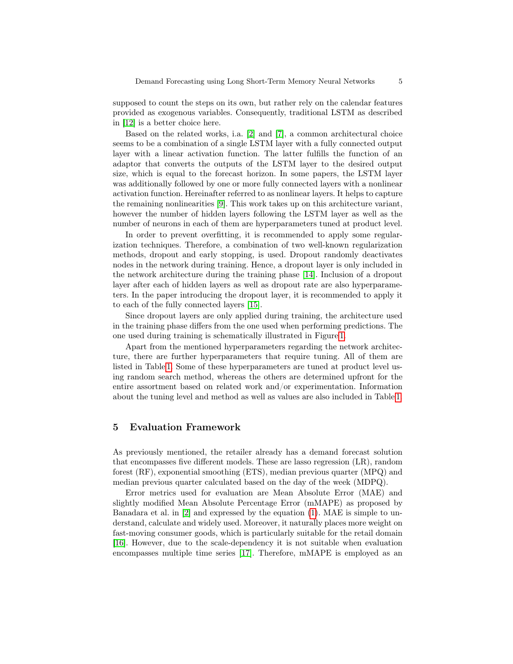supposed to count the steps on its own, but rather rely on the calendar features provided as exogenous variables. Consequently, traditional LSTM as described in [\[12\]](#page-12-8) is a better choice here.

Based on the related works, i.a. [\[2\]](#page-11-1) and [\[7\]](#page-12-3), a common architectural choice seems to be a combination of a single LSTM layer with a fully connected output layer with a linear activation function. The latter fulfills the function of an adaptor that converts the outputs of the LSTM layer to the desired output size, which is equal to the forecast horizon. In some papers, the LSTM layer was additionally followed by one or more fully connected layers with a nonlinear activation function. Hereinafter referred to as nonlinear layers. It helps to capture the remaining nonlinearities [\[9\]](#page-12-5). This work takes up on this architecture variant, however the number of hidden layers following the LSTM layer as well as the number of neurons in each of them are hyperparameters tuned at product level.

In order to prevent overfitting, it is recommended to apply some regularization techniques. Therefore, a combination of two well-known regularization methods, dropout and early stopping, is used. Dropout randomly deactivates nodes in the network during training. Hence, a dropout layer is only included in the network architecture during the training phase [\[14\]](#page-12-10). Inclusion of a dropout layer after each of hidden layers as well as dropout rate are also hyperparameters. In the paper introducing the dropout layer, it is recommended to apply it to each of the fully connected layers [\[15\]](#page-12-11).

Since dropout layers are only applied during training, the architecture used in the training phase differs from the one used when performing predictions. The one used during training is schematically illustrated in Figure [1.](#page-5-0)

Apart from the mentioned hyperparameters regarding the network architecture, there are further hyperparameters that require tuning. All of them are listed in Table [1.](#page-5-1) Some of these hyperparameters are tuned at product level using random search method, whereas the others are determined upfront for the entire assortment based on related work and/or experimentation. Information about the tuning level and method as well as values are also included in Table [1.](#page-5-1)

## 5 Evaluation Framework

As previously mentioned, the retailer already has a demand forecast solution that encompasses five different models. These are lasso regression (LR), random forest (RF), exponential smoothing (ETS), median previous quarter (MPQ) and median previous quarter calculated based on the day of the week (MDPQ).

Error metrics used for evaluation are Mean Absolute Error (MAE) and slightly modified Mean Absolute Percentage Error (mMAPE) as proposed by Banadara et al. in [\[2\]](#page-11-1) and expressed by the equation [\(1\)](#page-6-0). MAE is simple to understand, calculate and widely used. Moreover, it naturally places more weight on fast-moving consumer goods, which is particularly suitable for the retail domain [\[16\]](#page-12-12). However, due to the scale-dependency it is not suitable when evaluation encompasses multiple time series [\[17\]](#page-12-13). Therefore, mMAPE is employed as an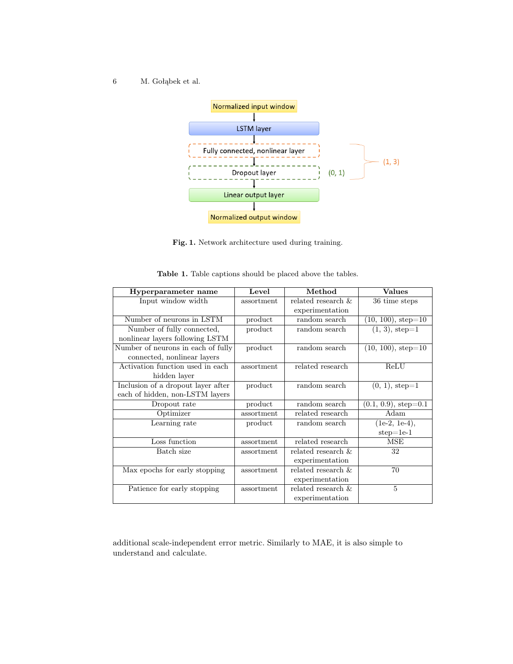

<span id="page-5-1"></span><span id="page-5-0"></span>Fig. 1. Network architecture used during training.

| Hyperparameter name                | Level      | Method                | <b>Values</b>           |
|------------------------------------|------------|-----------------------|-------------------------|
| Input window width                 | assortment | related research $\&$ | 36 time steps           |
|                                    |            | experimentation       |                         |
| Number of neurons in LSTM          | product    | random search         | $(10, 100), step=10$    |
| Number of fully connected,         | product    | random search         | $(1, 3), step=1$        |
| nonlinear layers following LSTM    |            |                       |                         |
| Number of neurons in each of fully | product    | random search         | $(10, 100), step=10$    |
| connected, nonlinear layers        |            |                       |                         |
| Activation function used in each   | assortment | related research      | ReLU                    |
| hidden layer                       |            |                       |                         |
| Inclusion of a dropout layer after | product    | random search         | $(0, 1)$ , step=1       |
| each of hidden, non-LSTM layers    |            |                       |                         |
| Dropout rate                       | product    | random search         | $(0.1, 0.9)$ , step=0.1 |
| Optimizer                          | assortment | related research      | Adam                    |
| Learning rate                      | product    | random search         | $(1e-2, 1e-4),$         |
|                                    |            |                       | $step=1e-1$             |
| Loss function                      | assortment | related research      | <b>MSE</b>              |
| Batch size                         | assortment | related research $\&$ | 32                      |
|                                    |            | experimentation       |                         |
| Max epochs for early stopping      | assortment | related research $\&$ | 70                      |
|                                    |            | experimentation       |                         |
| Patience for early stopping        | assortment | related research &    | $\overline{5}$          |
|                                    |            | experimentation       |                         |

Table 1. Table captions should be placed above the tables.

additional scale-independent error metric. Similarly to MAE, it is also simple to understand and calculate.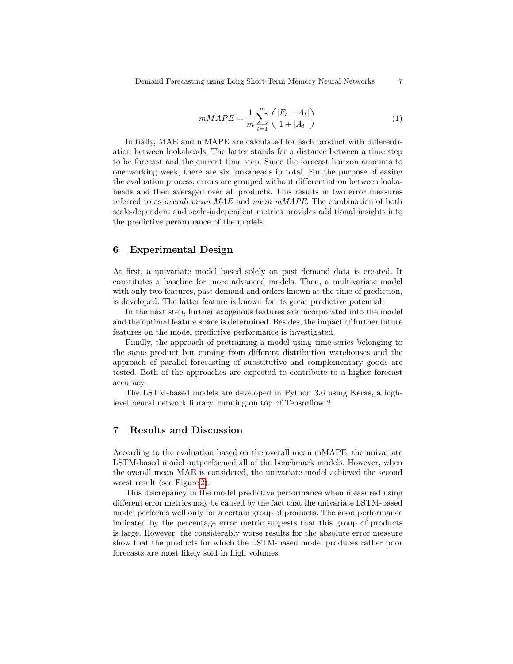<span id="page-6-0"></span>
$$
mMAPE = \frac{1}{m} \sum_{t=1}^{m} \left( \frac{|F_t - A_t|}{1 + |A_t|} \right) \tag{1}
$$

Initially, MAE and mMAPE are calculated for each product with differentiation between lookaheads. The latter stands for a distance between a time step to be forecast and the current time step. Since the forecast horizon amounts to one working week, there are six lookaheads in total. For the purpose of easing the evaluation process, errors are grouped without differentiation between lookaheads and then averaged over all products. This results in two error measures referred to as overall mean MAE and mean mMAPE. The combination of both scale-dependent and scale-independent metrics provides additional insights into the predictive performance of the models.

# 6 Experimental Design

At first, a univariate model based solely on past demand data is created. It constitutes a baseline for more advanced models. Then, a multivariate model with only two features, past demand and orders known at the time of prediction, is developed. The latter feature is known for its great predictive potential.

In the next step, further exogenous features are incorporated into the model and the optimal feature space is determined. Besides, the impact of further future features on the model predictive performance is investigated.

Finally, the approach of pretraining a model using time series belonging to the same product but coming from different distribution warehouses and the approach of parallel forecasting of substitutive and complementary goods are tested. Both of the approaches are expected to contribute to a higher forecast accuracy.

The LSTM-based models are developed in Python 3.6 using Keras, a highlevel neural network library, running on top of Tensorflow 2.

# 7 Results and Discussion

According to the evaluation based on the overall mean mMAPE, the univariate LSTM-based model outperformed all of the benchmark models. However, when the overall mean MAE is considered, the univariate model achieved the second worst result (see Figure [2\)](#page-7-0).

This discrepancy in the model predictive performance when measured using different error metrics may be caused by the fact that the univariate LSTM-based model performs well only for a certain group of products. The good performance indicated by the percentage error metric suggests that this group of products is large. However, the considerably worse results for the absolute error measure show that the products for which the LSTM-based model produces rather poor forecasts are most likely sold in high volumes.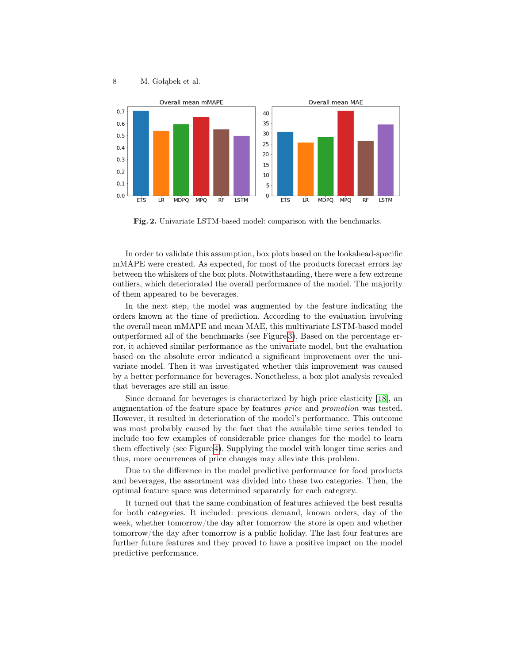

<span id="page-7-0"></span>Fig. 2. Univariate LSTM-based model: comparison with the benchmarks.

In order to validate this assumption, box plots based on the lookahead-specific mMAPE were created. As expected, for most of the products forecast errors lay between the whiskers of the box plots. Notwithstanding, there were a few extreme outliers, which deteriorated the overall performance of the model. The majority of them appeared to be beverages.

In the next step, the model was augmented by the feature indicating the orders known at the time of prediction. According to the evaluation involving the overall mean mMAPE and mean MAE, this multivariate LSTM-based model outperformed all of the benchmarks (see Figure [3\)](#page-8-0). Based on the percentage error, it achieved similar performance as the univariate model, but the evaluation based on the absolute error indicated a significant improvement over the univariate model. Then it was investigated whether this improvement was caused by a better performance for beverages. Nonetheless, a box plot analysis revealed that beverages are still an issue.

Since demand for beverages is characterized by high price elasticity [\[18\]](#page-12-14), an augmentation of the feature space by features price and promotion was tested. However, it resulted in deterioration of the model's performance. This outcome was most probably caused by the fact that the available time series tended to include too few examples of considerable price changes for the model to learn them effectively (see Figure [4\)](#page-8-1). Supplying the model with longer time series and thus, more occurrences of price changes may alleviate this problem.

Due to the difference in the model predictive performance for food products and beverages, the assortment was divided into these two categories. Then, the optimal feature space was determined separately for each category.

It turned out that the same combination of features achieved the best results for both categories. It included: previous demand, known orders, day of the week, whether tomorrow/the day after tomorrow the store is open and whether tomorrow/the day after tomorrow is a public holiday. The last four features are further future features and they proved to have a positive impact on the model predictive performance.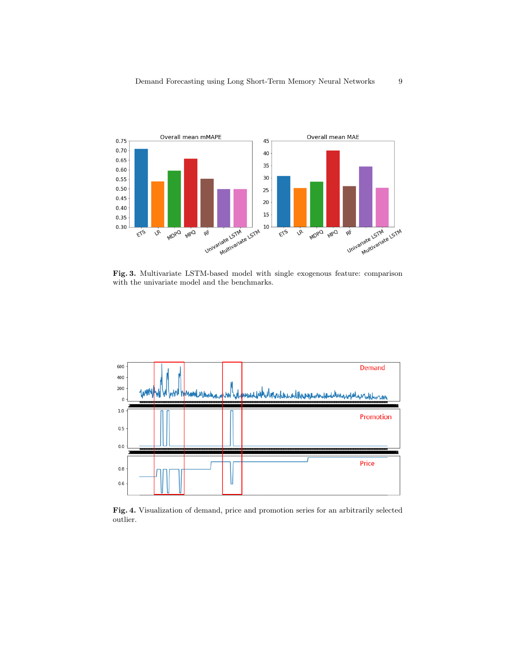

<span id="page-8-0"></span>Fig. 3. Multivariate LSTM-based model with single exogenous feature: comparison with the univariate model and the benchmarks.



<span id="page-8-1"></span>Fig. 4. Visualization of demand, price and promotion series for an arbitrarily selected outlier.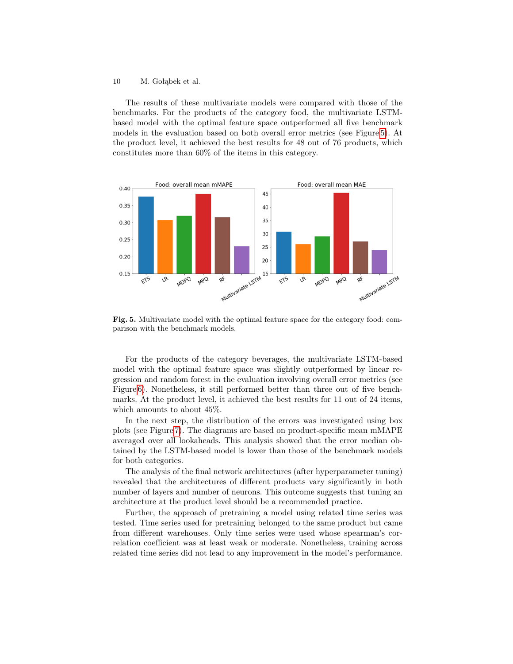The results of these multivariate models were compared with those of the benchmarks. For the products of the category food, the multivariate LSTMbased model with the optimal feature space outperformed all five benchmark models in the evaluation based on both overall error metrics (see Figure [5\)](#page-9-0). At the product level, it achieved the best results for 48 out of 76 products, which constitutes more than 60% of the items in this category.



<span id="page-9-0"></span>Fig. 5. Multivariate model with the optimal feature space for the category food: comparison with the benchmark models.

For the products of the category beverages, the multivariate LSTM-based model with the optimal feature space was slightly outperformed by linear regression and random forest in the evaluation involving overall error metrics (see Figure [6\)](#page-10-0). Nonetheless, it still performed better than three out of five benchmarks. At the product level, it achieved the best results for 11 out of 24 items, which amounts to about 45%.

In the next step, the distribution of the errors was investigated using box plots (see Figure [7\)](#page-10-1). The diagrams are based on product-specific mean mMAPE averaged over all lookaheads. This analysis showed that the error median obtained by the LSTM-based model is lower than those of the benchmark models for both categories.

The analysis of the final network architectures (after hyperparameter tuning) revealed that the architectures of different products vary significantly in both number of layers and number of neurons. This outcome suggests that tuning an architecture at the product level should be a recommended practice.

Further, the approach of pretraining a model using related time series was tested. Time series used for pretraining belonged to the same product but came from different warehouses. Only time series were used whose spearman's correlation coefficient was at least weak or moderate. Nonetheless, training across related time series did not lead to any improvement in the model's performance.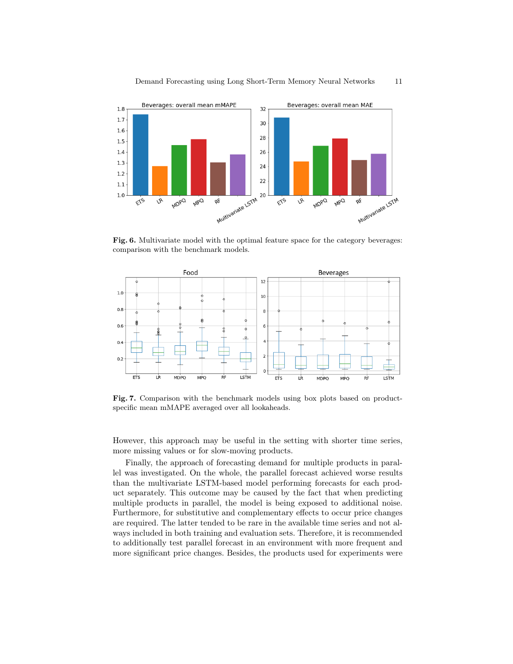

<span id="page-10-0"></span>Fig. 6. Multivariate model with the optimal feature space for the category beverages: comparison with the benchmark models.



<span id="page-10-1"></span>Fig. 7. Comparison with the benchmark models using box plots based on productspecific mean mMAPE averaged over all lookaheads.

However, this approach may be useful in the setting with shorter time series, more missing values or for slow-moving products.

Finally, the approach of forecasting demand for multiple products in parallel was investigated. On the whole, the parallel forecast achieved worse results than the multivariate LSTM-based model performing forecasts for each product separately. This outcome may be caused by the fact that when predicting multiple products in parallel, the model is being exposed to additional noise. Furthermore, for substitutive and complementary effects to occur price changes are required. The latter tended to be rare in the available time series and not always included in both training and evaluation sets. Therefore, it is recommended to additionally test parallel forecast in an environment with more frequent and more significant price changes. Besides, the products used for experiments were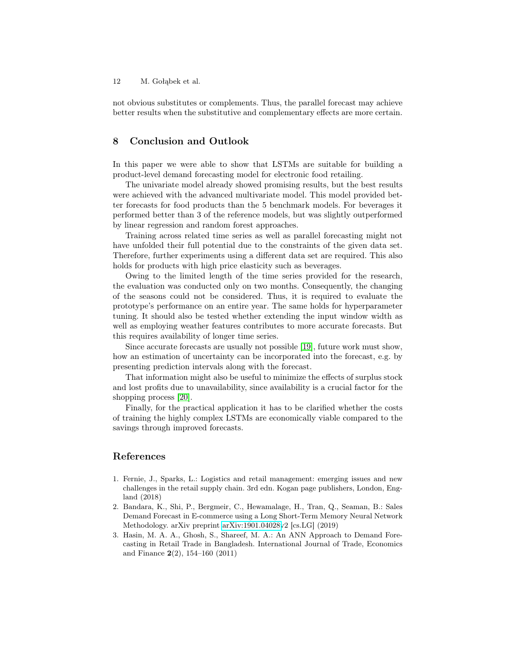not obvious substitutes or complements. Thus, the parallel forecast may achieve better results when the substitutive and complementary effects are more certain.

## 8 Conclusion and Outlook

In this paper we were able to show that LSTMs are suitable for building a product-level demand forecasting model for electronic food retailing.

The univariate model already showed promising results, but the best results were achieved with the advanced multivariate model. This model provided better forecasts for food products than the 5 benchmark models. For beverages it performed better than 3 of the reference models, but was slightly outperformed by linear regression and random forest approaches.

Training across related time series as well as parallel forecasting might not have unfolded their full potential due to the constraints of the given data set. Therefore, further experiments using a different data set are required. This also holds for products with high price elasticity such as beverages.

Owing to the limited length of the time series provided for the research, the evaluation was conducted only on two months. Consequently, the changing of the seasons could not be considered. Thus, it is required to evaluate the prototype's performance on an entire year. The same holds for hyperparameter tuning. It should also be tested whether extending the input window width as well as employing weather features contributes to more accurate forecasts. But this requires availability of longer time series.

Since accurate forecasts are usually not possible [\[19\]](#page-12-15), future work must show, how an estimation of uncertainty can be incorporated into the forecast, e.g. by presenting prediction intervals along with the forecast.

That information might also be useful to minimize the effects of surplus stock and lost profits due to unavailability, since availability is a crucial factor for the shopping process [\[20\]](#page-12-16).

Finally, for the practical application it has to be clarified whether the costs of training the highly complex LSTMs are economically viable compared to the savings through improved forecasts.

# References

- <span id="page-11-0"></span>1. Fernie, J., Sparks, L.: Logistics and retail management: emerging issues and new challenges in the retail supply chain. 3rd edn. Kogan page publishers, London, England (2018)
- <span id="page-11-1"></span>2. Bandara, K., Shi, P., Bergmeir, C., Hewamalage, H., Tran, Q., Seaman, B.: Sales Demand Forecast in E-commerce using a Long Short-Term Memory Neural Network Methodology. arXiv preprint [arXiv:1901.04028v](http://arxiv.org/abs/1901.04028)2 [cs.LG] (2019)
- <span id="page-11-2"></span>3. Hasin, M. A. A., Ghosh, S., Shareef, M. A.: An ANN Approach to Demand Forecasting in Retail Trade in Bangladesh. International Journal of Trade, Economics and Finance  $2(2)$ , 154-160 (2011)